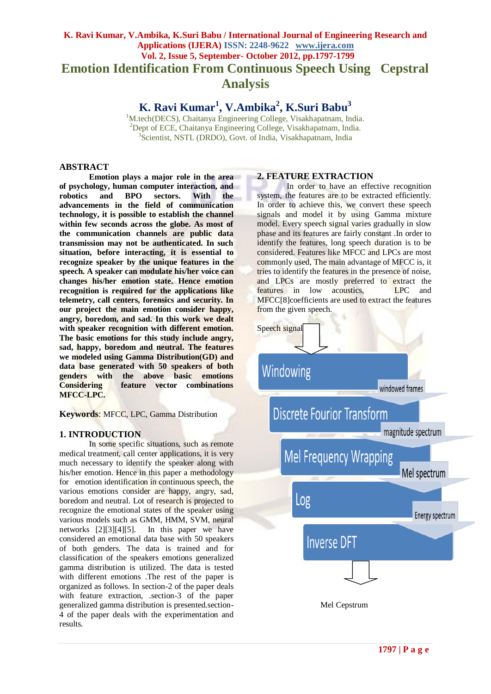# **K. Ravi Kumar, V.Ambika, K.Suri Babu / International Journal of Engineering Research and Applications (IJERA) ISSN: 2248-9622 www.ijera.com Vol. 2, Issue 5, September- October 2012, pp.1797-1799 Emotion Identification From Continuous Speech Using Cepstral Analysis**

**K. Ravi Kumar<sup>1</sup> , V.Ambika<sup>2</sup> , K.Suri Babu<sup>3</sup>**

<sup>1</sup>M.tech(DECS), Chaitanya Engineering College, Visakhapatnam, India. <sup>2</sup>Dept of ECE, Chaitanya Engineering College, Visakhapatnam, India. <sup>3</sup>Scientist, NSTL (DRDO), Govt. of India, Visakhapatnam, India

## **ABSTRACT**

**Emotion plays a major role in the area of psychology, human computer interaction, and**  and **BPO** sectors. With the **advancements in the field of communication technology, it is possible to establish the channel within few seconds across the globe. As most of the communication channels are public data transmission may not be authenticated. In such situation, before interacting, it is essential to recognize speaker by the unique features in the speech. A speaker can modulate his/her voice can changes his/her emotion state. Hence emotion recognition is required for the applications like telemetry, call centers, forensics and security. In our project the main emotion consider happy, angry, boredom, and sad. In this work we dealt with speaker recognition with different emotion. The basic emotions for this study include angry, sad, happy, boredom and neutral. The features we modeled using Gamma Distribution(GD) and data base generated with 50 speakers of both genders with the above basic emotions Considering feature vector combinations MFCC-LPC.**

**Keywords**: MFCC, LPC, Gamma Distribution

# **1. INTRODUCTION**

In some specific situations, such as remote medical treatment, call center applications, it is very much necessary to identify the speaker along with his/her emotion. Hence in this paper a methodology for emotion identification in continuous speech, the various emotions consider are happy, angry, sad, boredom and neutral. Lot of research is projected to recognize the emotional states of the speaker using various models such as GMM, HMM, SVM, neural networks [2][3][4][5]. In this paper we have considered an emotional data base with 50 speakers of both genders. The data is trained and for classification of the speakers emotions generalized gamma distribution is utilized. The data is tested with different emotions .The rest of the paper is organized as follows. In section-2 of the paper deals with feature extraction, .section-3 of the paper generalized gamma distribution is presented.section-4 of the paper deals with the experimentation and results.

## **2. FEATURE EXTRACTION**

In order to have an effective recognition system, the features are to be extracted efficiently. In order to achieve this, we convert these speech signals and model it by using Gamma mixture model. Every speech signal varies gradually in slow phase and its features are fairly constant .In order to identify the features, long speech duration is to be considered. Features like MFCC and LPCs are most commonly used, The main advantage of MFCC is, it tries to identify the features in the presence of noise, and LPCs are mostly preferred to extract the features in low acoustics, LPC and MFCC[8]coefficients are used to extract the features from the given speech.



**1797 | P a g e**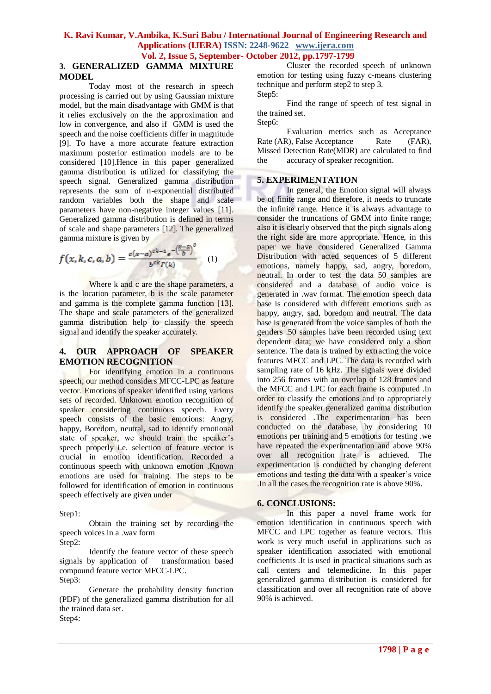### **K. Ravi Kumar, V.Ambika, K.Suri Babu / International Journal of Engineering Research and Applications (IJERA) ISSN: 2248-9622 www.ijera.com Vol. 2, Issue 5, September- October 2012, pp.1797-1799**

## **3. GENERALIZED GAMMA MIXTURE MODEL**

Today most of the research in speech processing is carried out by using Gaussian mixture model, but the main disadvantage with GMM is that it relies exclusively on the the approximation and low in convergence, and also if GMM is used the speech and the noise coefficients differ in magnitude [9]. To have a more accurate feature extraction maximum posterior estimation models are to be considered [10].Hence in this paper generalized gamma distribution is utilized for classifying the speech signal. Generalized gamma distribution represents the sum of n-exponential distributed random variables both the shape and scale parameters have non-negative integer values [11]. Generalized gamma distribution is defined in terms of scale and shape parameters [12]. The generalized gamma mixture is given by

$$
f(x, k, c, a, b) = \frac{c(x-a)^{ck-1}e^{-\left(\frac{x-a}{b}\right)^c}}{b^{ck} \Gamma(k)}
$$
 (1)

Where k and c are the shape parameters, a is the location parameter, b is the scale parameter and gamma is the complete gamma function [13]. The shape and scale parameters of the generalized gamma distribution help to classify the speech signal and identify the speaker accurately.

# **4. OUR APPROACH OF SPEAKER EMOTION RECOGNITION**

For identifying emotion in a continuous speech, our method considers MFCC-LPC as feature vector. Emotions of speaker identified using various sets of recorded. Unknown emotion recognition of speaker considering continuous speech. Every speech consists of the basic emotions: Angry, happy, Boredom, neutral, sad to identify emotional state of speaker, we should train the speaker's speech properly i.e. selection of feature vector is crucial in emotion identification. Recorded a continuous speech with unknown emotion .Known emotions are used for training. The steps to be followed for identification of emotion in continuous speech effectively are given under

#### Step1:

Obtain the training set by recording the speech voices in a .wav form

Step2:

Identify the feature vector of these speech signals by application of transformation based compound feature vector MFCC-LPC. Step3:

Generate the probability density function (PDF) of the generalized gamma distribution for all the trained data set. Step4:

Cluster the recorded speech of unknown emotion for testing using fuzzy c-means clustering technique and perform step2 to step 3. Step5:

Find the range of speech of test signal in the trained set. Step6:

Evaluation metrics such as Acceptance Rate (AR), False Acceptance Rate (FAR), Missed Detection Rate(MDR) are calculated to find the accuracy of speaker recognition.

## **5. EXPERIMENTATION**

In general, the Emotion signal will always be of finite range and therefore, it needs to truncate the infinite range. Hence it is always advantage to consider the truncations of GMM into finite range; also it is clearly observed that the pitch signals along the right side are more appropriate. Hence, in this paper we have considered Generalized Gamma Distribution with acted sequences of 5 different emotions, namely happy, sad, angry, boredom, neutral. In order to test the data 50 samples are considered and a database of audio voice is generated in .wav format. The emotion speech data base is considered with different emotions such as happy, angry, sad, boredom and neutral. The data base is generated from the voice samples of both the genders .50 samples have been recorded using text dependent data; we have considered only a short sentence. The data is trained by extracting the voice features MFCC and LPC. The data is recorded with sampling rate of 16 kHz. The signals were divided into 256 frames with an overlap of 128 frames and the MFCC and LPC for each frame is computed .In order to classify the emotions and to appropriately identify the speaker generalized gamma distribution is considered .The experimentation has been conducted on the database, by considering 10 emotions per training and 5 emotions for testing .we have repeated the experimentation and above 90% over all recognition rate is achieved. The experimentation is conducted by changing deferent emotions and testing the data with a speaker's voice .In all the cases the recognition rate is above 90%.

# **6. CONCLUSIONS:**

In this paper a novel frame work for emotion identification in continuous speech with MFCC and LPC together as feature vectors. This work is very much useful in applications such as speaker identification associated with emotional coefficients .It is used in practical situations such as call centers and telemedicine. In this paper generalized gamma distribution is considered for classification and over all recognition rate of above 90% is achieved.